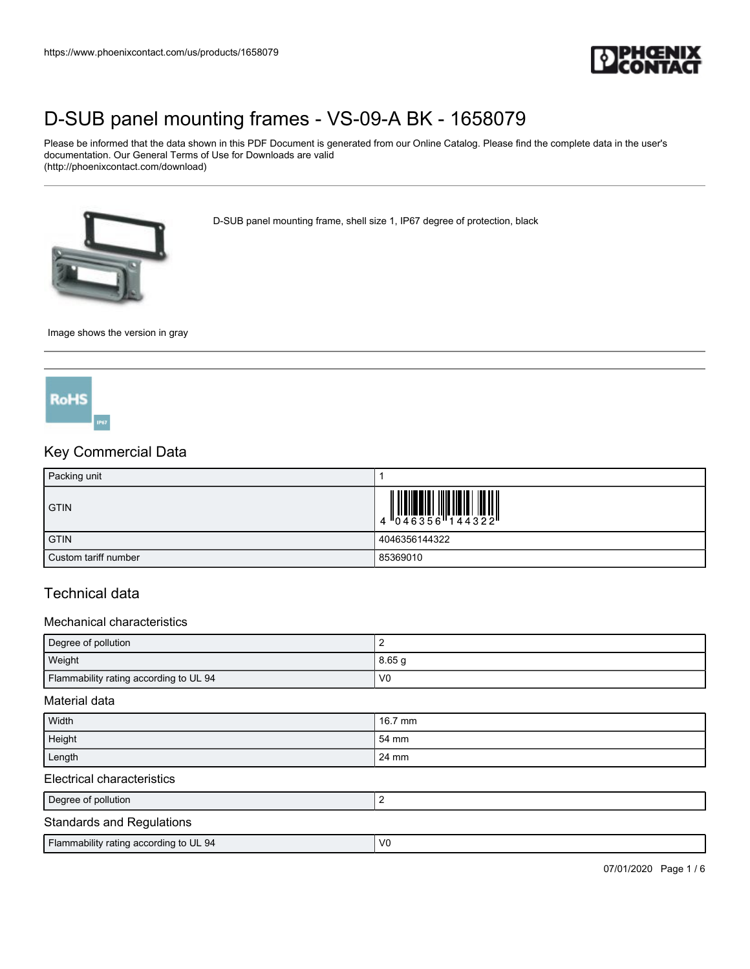

Please be informed that the data shown in this PDF Document is generated from our Online Catalog. Please find the complete data in the user's documentation. Our General Terms of Use for Downloads are valid (http://phoenixcontact.com/download)

D-SUB panel mounting frame, shell size 1, IP67 degree of protection, black



Image shows the version in gray



### Key Commercial Data

| Packing unit         |               |
|----------------------|---------------|
| <b>GTIN</b>          |               |
| <b>GTIN</b>          | 4046356144322 |
| Custom tariff number | 85369010      |

## Technical data

#### Mechanical characteristics

| Degree of pollution                    |                |  |
|----------------------------------------|----------------|--|
| Weight                                 | 8.65q          |  |
| Flammability rating according to UL 94 | V <sub>0</sub> |  |

#### Material data

| Width                            | 16.7 mm |  |  |
|----------------------------------|---------|--|--|
| Height                           | 54 mm   |  |  |
| Length                           | 24 mm   |  |  |
| Electrical characteristics       |         |  |  |
| Degree of pollution              |         |  |  |
| <b>Standards and Regulations</b> |         |  |  |

| Flammability rating according to UL 94 | $\mathcal{U}$ |
|----------------------------------------|---------------|
|                                        |               |

07/01/2020 Page 1 / 6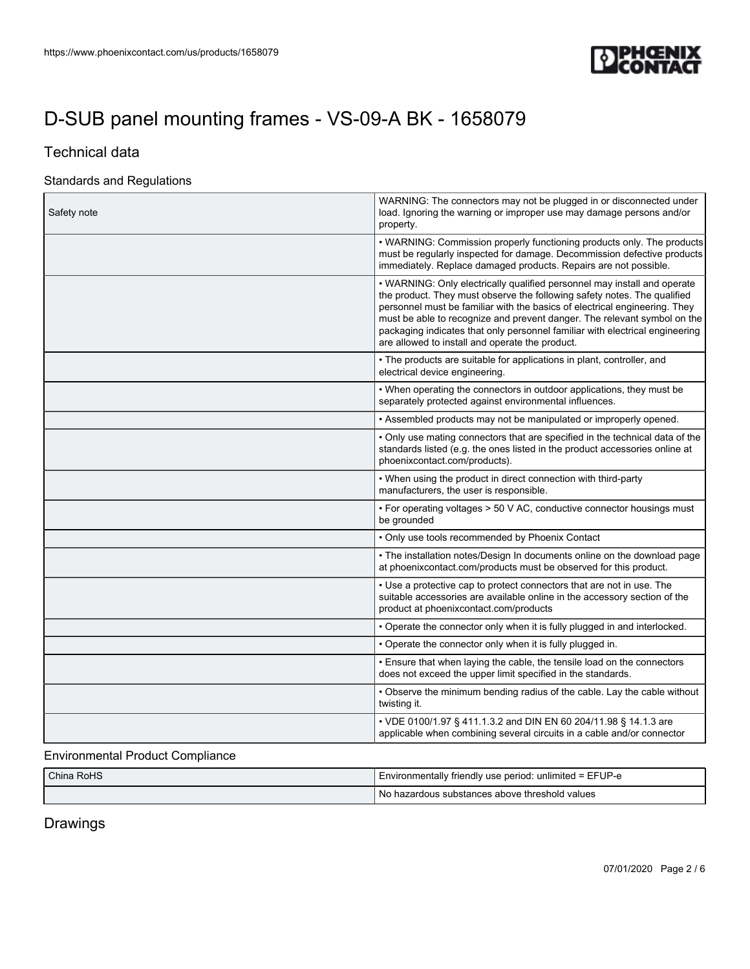

## Technical data

### Standards and Regulations

| Safety note | WARNING: The connectors may not be plugged in or disconnected under<br>load. Ignoring the warning or improper use may damage persons and/or<br>property.                                                                                                                                                                                                                                                                                          |
|-------------|---------------------------------------------------------------------------------------------------------------------------------------------------------------------------------------------------------------------------------------------------------------------------------------------------------------------------------------------------------------------------------------------------------------------------------------------------|
|             | • WARNING: Commission properly functioning products only. The products<br>must be regularly inspected for damage. Decommission defective products<br>immediately. Replace damaged products. Repairs are not possible.                                                                                                                                                                                                                             |
|             | • WARNING: Only electrically qualified personnel may install and operate<br>the product. They must observe the following safety notes. The qualified<br>personnel must be familiar with the basics of electrical engineering. They<br>must be able to recognize and prevent danger. The relevant symbol on the<br>packaging indicates that only personnel familiar with electrical engineering<br>are allowed to install and operate the product. |
|             | • The products are suitable for applications in plant, controller, and<br>electrical device engineering.                                                                                                                                                                                                                                                                                                                                          |
|             | • When operating the connectors in outdoor applications, they must be<br>separately protected against environmental influences.                                                                                                                                                                                                                                                                                                                   |
|             | • Assembled products may not be manipulated or improperly opened.                                                                                                                                                                                                                                                                                                                                                                                 |
|             | . Only use mating connectors that are specified in the technical data of the<br>standards listed (e.g. the ones listed in the product accessories online at<br>phoenixcontact.com/products).                                                                                                                                                                                                                                                      |
|             | • When using the product in direct connection with third-party<br>manufacturers, the user is responsible.                                                                                                                                                                                                                                                                                                                                         |
|             | • For operating voltages > 50 V AC, conductive connector housings must<br>be grounded                                                                                                                                                                                                                                                                                                                                                             |
|             | • Only use tools recommended by Phoenix Contact                                                                                                                                                                                                                                                                                                                                                                                                   |
|             | • The installation notes/Design In documents online on the download page<br>at phoenixcontact.com/products must be observed for this product.                                                                                                                                                                                                                                                                                                     |
|             | • Use a protective cap to protect connectors that are not in use. The<br>suitable accessories are available online in the accessory section of the<br>product at phoenixcontact.com/products                                                                                                                                                                                                                                                      |
|             | • Operate the connector only when it is fully plugged in and interlocked.                                                                                                                                                                                                                                                                                                                                                                         |
|             | . Operate the connector only when it is fully plugged in.                                                                                                                                                                                                                                                                                                                                                                                         |
|             | • Ensure that when laying the cable, the tensile load on the connectors<br>does not exceed the upper limit specified in the standards.                                                                                                                                                                                                                                                                                                            |
|             | • Observe the minimum bending radius of the cable. Lay the cable without<br>twisting it.                                                                                                                                                                                                                                                                                                                                                          |
|             | • VDE 0100/1.97 § 411.1.3.2 and DIN EN 60 204/11.98 § 14.1.3 are<br>applicable when combining several circuits in a cable and/or connector                                                                                                                                                                                                                                                                                                        |

## Environmental Product Compliance

| China RoHS | Environmentally friendly use period: unlimited = EFUP-e |
|------------|---------------------------------------------------------|
|            | No hazardous substances above threshold values          |

Drawings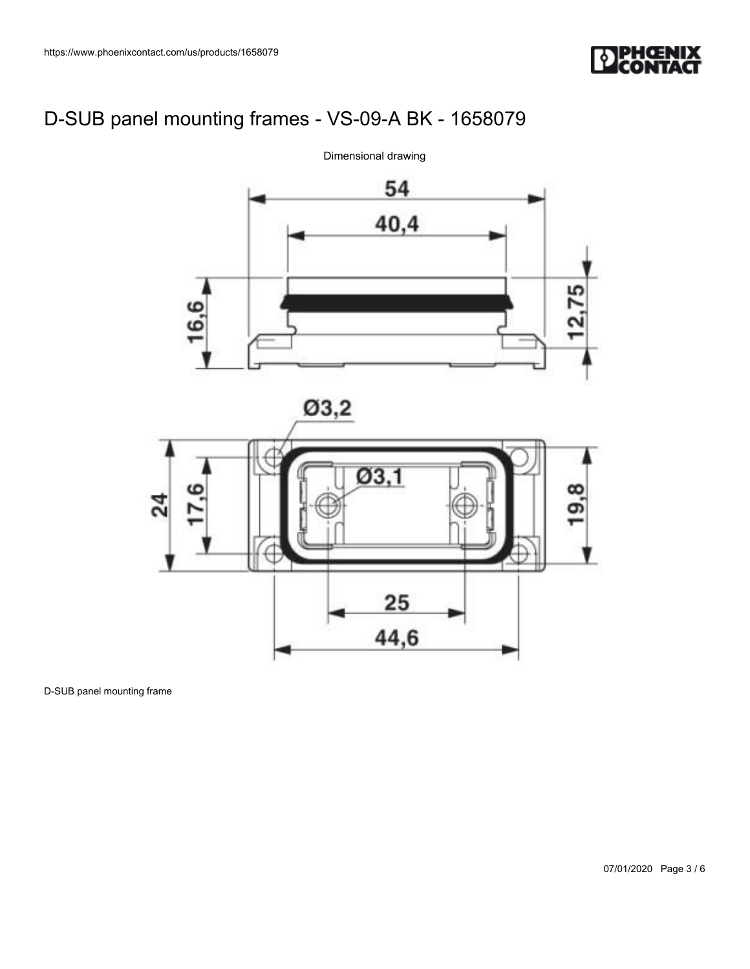



D-SUB panel mounting frame

07/01/2020 Page 3 / 6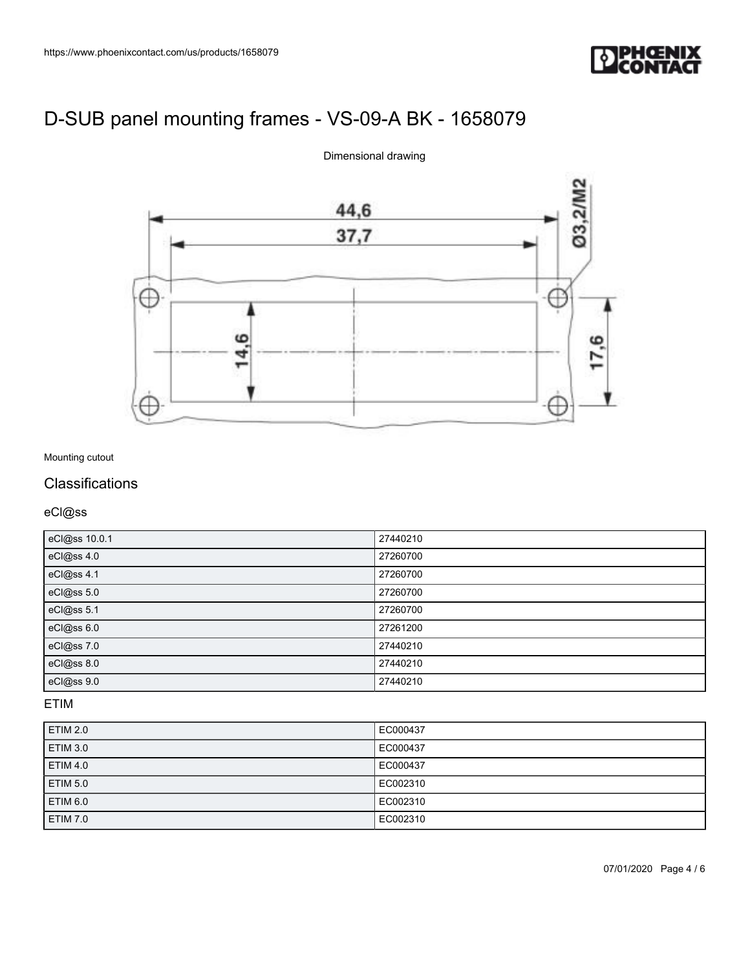



Dimensional drawing

### Mounting cutout

### **Classifications**

eCl@ss

| eCl@ss 10.0.1 | 27440210 |
|---------------|----------|
| eCl@ss 4.0    | 27260700 |
| eCl@ss 4.1    | 27260700 |
| eCl@ss 5.0    | 27260700 |
| eCl@ss 5.1    | 27260700 |
| eCl@ss 6.0    | 27261200 |
| eCl@ss 7.0    | 27440210 |
| eCl@ss 8.0    | 27440210 |
| eCl@ss 9.0    | 27440210 |

ETIM

| <b>ETIM 2.0</b> | EC000437 |
|-----------------|----------|
| <b>ETIM 3.0</b> | EC000437 |
| <b>ETIM 4.0</b> | EC000437 |
| ETIM 5.0        | EC002310 |
| <b>ETIM 6.0</b> | EC002310 |
| <b>ETIM 7.0</b> | EC002310 |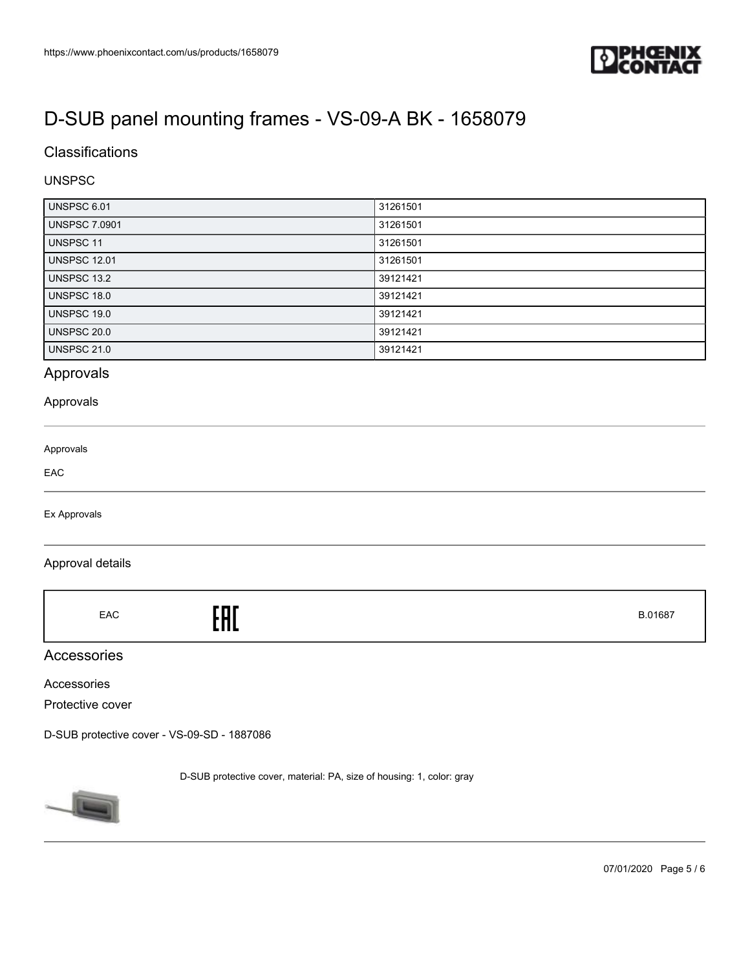

### **Classifications**

### UNSPSC

| <b>UNSPSC 6.01</b>   | 31261501 |
|----------------------|----------|
| <b>UNSPSC 7.0901</b> | 31261501 |
| UNSPSC 11            | 31261501 |
| <b>UNSPSC 12.01</b>  | 31261501 |
| <b>UNSPSC 13.2</b>   | 39121421 |
| UNSPSC 18.0          | 39121421 |
| <b>UNSPSC 19.0</b>   | 39121421 |
| <b>UNSPSC 20.0</b>   | 39121421 |
| <b>UNSPSC 21.0</b>   | 39121421 |

## Approvals

#### Approvals

| Approvals |  |  |
|-----------|--|--|
| EAC       |  |  |
|           |  |  |

Ex Approvals

#### Approval details

|  | EAC | EAC | B.01687 |
|--|-----|-----|---------|
|--|-----|-----|---------|

### Accessories

Accessories

Protective cover

[D-SUB protective cover - VS-09-SD - 1887086](https://www.phoenixcontact.com/us/products/1887086)

D-SUB protective cover, material: PA, size of housing: 1, color: gray



07/01/2020 Page 5 / 6